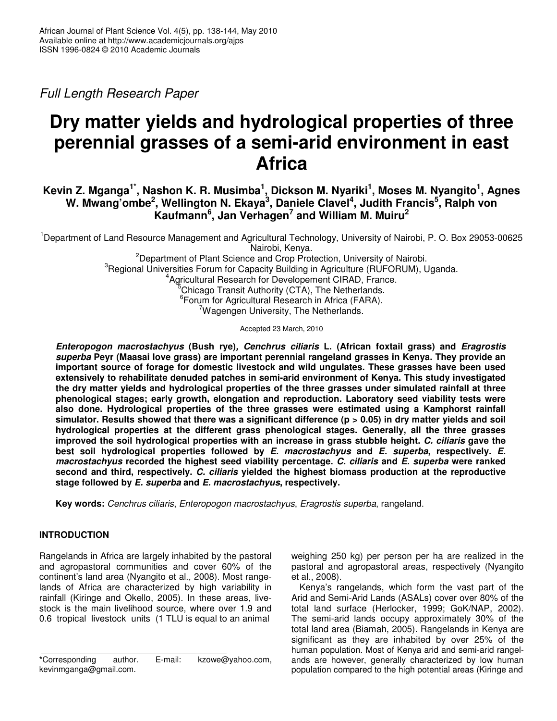Full Length Research Paper

# **Dry matter yields and hydrological properties of three perennial grasses of a semi-arid environment in east Africa**

# **Kevin Z. Mganga1\*, Nashon K. R. Musimba<sup>1</sup> , Dickson M. Nyariki<sup>1</sup> , Moses M. Nyangito<sup>1</sup> , Agnes W. Mwang'ombe<sup>2</sup> , Wellington N. Ekaya<sup>3</sup> , Daniele Clavel<sup>4</sup> , Judith Francis<sup>5</sup> , Ralph von Kaufmann<sup>6</sup> , Jan Verhagen<sup>7</sup> and William M. Muiru<sup>2</sup>**

<sup>1</sup>Department of Land Resource Management and Agricultural Technology, University of Nairobi, P. O. Box 29053-00625 Nairobi, Kenya.

<sup>2</sup>Department of Plant Science and Crop Protection, University of Nairobi. <sup>3</sup>Regional Universities Forum for Capacity Building in Agriculture (RUFORUM), Uganda. 4 Agricultural Research for Developement CIRAD, France. Chicago Transit Authority (CTA), The Netherlands. 6 Forum for Agricultural Research in Africa (FARA). <sup>7</sup>Wagengen University, The Netherlands.

Accepted 23 March, 2010

**Enteropogon macrostachyus (Bush rye), Cenchrus ciliaris L. (African foxtail grass) and Eragrostis superba Peyr (Maasai love grass) are important perennial rangeland grasses in Kenya. They provide an important source of forage for domestic livestock and wild ungulates. These grasses have been used extensively to rehabilitate denuded patches in semi-arid environment of Kenya. This study investigated the dry matter yields and hydrological properties of the three grasses under simulated rainfall at three phenological stages; early growth, elongation and reproduction. Laboratory seed viability tests were also done. Hydrological properties of the three grasses were estimated using a Kamphorst rainfall simulator. Results showed that there was a significant difference (p > 0.05) in dry matter yields and soil hydrological properties at the different grass phenological stages. Generally, all the three grasses improved the soil hydrological properties with an increase in grass stubble height. C. ciliaris gave the best soil hydrological properties followed by E. macrostachyus and E. superba, respectively. E. macrostachyus recorded the highest seed viability percentage. C. ciliaris and E. superba were ranked second and third, respectively. C. ciliaris yielded the highest biomass production at the reproductive stage followed by E. superba and E. macrostachyus, respectively.** 

**Key words:** Cenchrus ciliaris, Enteropogon macrostachyus, Eragrostis superba, rangeland.

# **INTRODUCTION**

Rangelands in Africa are largely inhabited by the pastoral and agropastoral communities and cover 60% of the continent's land area (Nyangito et al., 2008). Most rangelands of Africa are characterized by high variability in rainfall (Kiringe and Okello, 2005). In these areas, livestock is the main livelihood source, where over 1.9 and 0.6 tropical livestock units (1 TLU is equal to an animal

weighing 250 kg) per person per ha are realized in the pastoral and agropastoral areas, respectively (Nyangito et al., 2008).

Kenya's rangelands, which form the vast part of the Arid and Semi-Arid Lands (ASALs) cover over 80% of the total land surface (Herlocker, 1999; GoK/NAP, 2002). The semi-arid lands occupy approximately 30% of the total land area (Biamah, 2005). Rangelands in Kenya are significant as they are inhabited by over 25% of the human population. Most of Kenya arid and semi-arid rangelands are however, generally characterized by low human population compared to the high potential areas (Kiringe and

**<sup>\*</sup>**Corresponding author. E-mail: kzowe@yahoo.com, kevinmganga@gmail.com.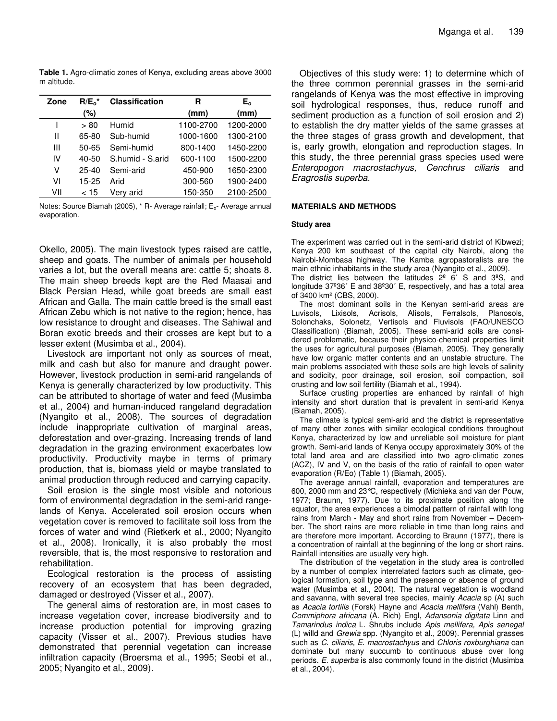**Table 1.** Agro-climatic zones of Kenya, excluding areas above 3000 m altitude.

| Zone | $R/E_0^*$ | <b>Classification</b> | R         | E。        |
|------|-----------|-----------------------|-----------|-----------|
|      | (%)       |                       | (mm)      | (mm)      |
|      | > 80      | Humid                 | 1100-2700 | 1200-2000 |
| Ш    | 65-80     | Sub-humid             | 1000-1600 | 1300-2100 |
| Ш    | 50-65     | Semi-humid            | 800-1400  | 1450-2200 |
| IV   | 40-50     | S.humid - S.arid      | 600-1100  | 1500-2200 |
| v    | 25-40     | Semi-arid             | 450-900   | 1650-2300 |
| ۷ı   | 15-25     | Arid                  | 300-560   | 1900-2400 |
| VII  | < 15      | Verv arid             | 150-350   | 2100-2500 |

Notes: Source Biamah (2005), \* R- Average rainfall; E<sub>o</sub>- Average annual evaporation.

Okello, 2005). The main livestock types raised are cattle, sheep and goats. The number of animals per household varies a lot, but the overall means are: cattle 5; shoats 8. The main sheep breeds kept are the Red Maasai and Black Persian Head, while goat breeds are small east African and Galla. The main cattle breed is the small east African Zebu which is not native to the region; hence, has low resistance to drought and diseases. The Sahiwal and Boran exotic breeds and their crosses are kept but to a lesser extent (Musimba et al., 2004).

Livestock are important not only as sources of meat, milk and cash but also for manure and draught power. However, livestock production in semi-arid rangelands of Kenya is generally characterized by low productivity. This can be attributed to shortage of water and feed (Musimba et al., 2004) and human-induced rangeland degradation (Nyangito et al., 2008). The sources of degradation include inappropriate cultivation of marginal areas, deforestation and over-grazing. Increasing trends of land degradation in the grazing environment exacerbates low productivity. Productivity maybe in terms of primary production, that is, biomass yield or maybe translated to animal production through reduced and carrying capacity.

Soil erosion is the single most visible and notorious form of environmental degradation in the semi-arid rangelands of Kenya. Accelerated soil erosion occurs when vegetation cover is removed to facilitate soil loss from the forces of water and wind (Rietkerk et al., 2000; Nyangito et al., 2008). Ironically, it is also probably the most reversible, that is, the most responsive to restoration and rehabilitation.

Ecological restoration is the process of assisting recovery of an ecosystem that has been degraded, damaged or destroyed (Visser et al., 2007).

The general aims of restoration are, in most cases to increase vegetation cover, increase biodiversity and to increase production potential for improving grazing capacity (Visser et al., 2007). Previous studies have demonstrated that perennial vegetation can increase infiltration capacity (Broersma et al., 1995; Seobi et al., 2005; Nyangito et al., 2009).

Objectives of this study were: 1) to determine which of the three common perennial grasses in the semi-arid rangelands of Kenya was the most effective in improving soil hydrological responses, thus, reduce runoff and sediment production as a function of soil erosion and 2) to establish the dry matter yields of the same grasses at the three stages of grass growth and development, that is, early growth, elongation and reproduction stages. In this study, the three perennial grass species used were Enteropogon macrostachyus, Cenchrus ciliaris and Eragrostis superba.

# **MATERIALS AND METHODS**

# **Study area**

The experiment was carried out in the semi-arid district of Kibwezi; Kenya 200 km southeast of the capital city Nairobi, along the Nairobi-Mombasa highway. The Kamba agropastoralists are the main ethnic inhabitants in the study area (Nyangito et al., 2009).

The district lies between the latitudes  $2^{\circ}$  6' S and  $3^{\circ}$ S, and longitude 37º36΄ E and 38º30΄ E, respectively, and has a total area of 3400 km² (CBS, 2000).

The most dominant soils in the Kenyan semi-arid areas are Luvisols, Lixisols, Acrisols, Alisols, Ferralsols, Planosols, Solonchaks, Solonetz, Vertisols and Fluvisols (FAO/UNESCO Classification) (Biamah, 2005). These semi-arid soils are considered problematic, because their physico-chemical properties limit the uses for agricultural purposes (Biamah, 2005). They generally have low organic matter contents and an unstable structure. The main problems associated with these soils are high levels of salinity and sodicity, poor drainage, soil erosion, soil compaction, soil crusting and low soil fertility (Biamah et al., 1994).

Surface crusting properties are enhanced by rainfall of high intensity and short duration that is prevalent in semi-arid Kenya (Biamah, 2005).

The climate is typical semi-arid and the district is representative of many other zones with similar ecological conditions throughout Kenya, characterized by low and unreliable soil moisture for plant growth. Semi-arid lands of Kenya occupy approximately 30% of the total land area and are classified into two agro-climatic zones (ACZ), IV and V, on the basis of the ratio of rainfall to open water evaporation (R/Eo) (Table 1) (Biamah, 2005).

The average annual rainfall, evaporation and temperatures are 600, 2000 mm and 23°C, respectively (Michieka and van der Pouw, 1977; Braunn, 1977). Due to its proximate position along the equator, the area experiences a bimodal pattern of rainfall with long rains from March - May and short rains from November – December. The short rains are more reliable in time than long rains and are therefore more important. According to Braunn (1977), there is a concentration of rainfall at the beginning of the long or short rains. Rainfall intensities are usually very high.

The distribution of the vegetation in the study area is controlled by a number of complex interrelated factors such as climate, geological formation, soil type and the presence or absence of ground water (Musimba et al., 2004). The natural vegetation is woodland and savanna, with several tree species, mainly Acacia sp (A) such as Acacia tortilis (Forsk) Hayne and Acacia mellifera (Vahl) Benth, Commiphora africana (A. Rich) Engl, Adansonia digitata Linn and Tamarindus indica L. Shrubs include Apis mellifera, Apis senegal (L) willd and Grewia spp. (Nyangito et al., 2009). Perennial grasses such as C. ciliaris, E. macrostachyus and Chloris roxburghiana can dominate but many succumb to continuous abuse over long periods. E. superba is also commonly found in the district (Musimba et al., 2004).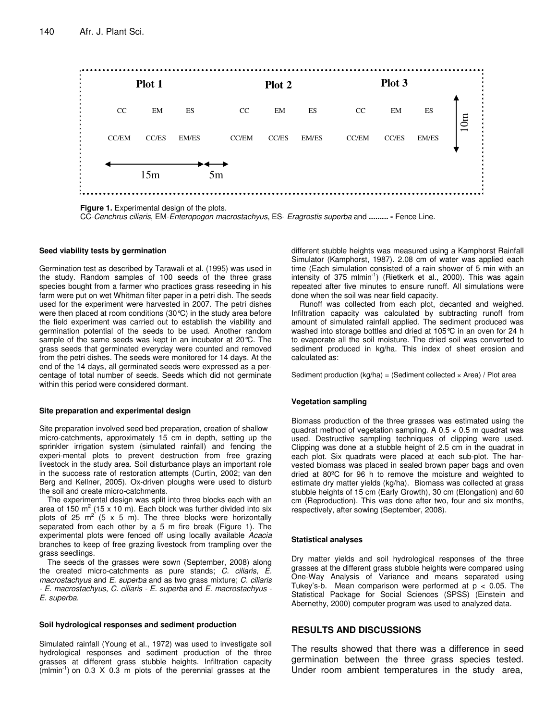

**Figure 1.** Experimental design of the plots.

CC-Cenchrus ciliaris, EM-Enteropogon macrostachyus, ES- Eragrostis superba and **......... -** Fence Line.

# **Seed viability tests by germination**

Germination test as described by Tarawali et al. (1995) was used in the study. Random samples of 100 seeds of the three grass species bought from a farmer who practices grass reseeding in his farm were put on wet Whitman filter paper in a petri dish. The seeds used for the experiment were harvested in 2007. The petri dishes were then placed at room conditions (30°C) in the study area before the field experiment was carried out to establish the viability and germination potential of the seeds to be used. Another random sample of the same seeds was kept in an incubator at 20°C. The grass seeds that germinated everyday were counted and removed from the petri dishes. The seeds were monitored for 14 days. At the end of the 14 days, all germinated seeds were expressed as a percentage of total number of seeds. Seeds which did not germinate within this period were considered dormant.

#### **Site preparation and experimental design**

Site preparation involved seed bed preparation, creation of shallow micro-catchments, approximately 15 cm in depth, setting up the sprinkler irrigation system (simulated rainfall) and fencing the experi-mental plots to prevent destruction from free grazing livestock in the study area. Soil disturbance plays an important role in the success rate of restoration attempts (Curtin, 2002; van den Berg and Kellner, 2005). Ox-driven ploughs were used to disturb the soil and create micro-catchments.

The experimental design was split into three blocks each with an area of 150 m<sup>2</sup> (15 x 10 m). Each block was further divided into six plots of 25  $m^2$  (5 x 5 m). The three blocks were horizontally separated from each other by a 5 m fire break (Figure 1). The experimental plots were fenced off using locally available Acacia branches to keep of free grazing livestock from trampling over the grass seedlings.

The seeds of the grasses were sown (September, 2008) along the created micro-catchments as pure stands; C. ciliaris, E. macrostachyus and E. superba and as two grass mixture; C. ciliaris - E. macrostachyus, C. ciliaris - E. superba and E. macrostachyus - E. superba.

#### **Soil hydrological responses and sediment production**

Simulated rainfall (Young et al., 1972) was used to investigate soil hydrological responses and sediment production of the three grasses at different grass stubble heights. Infiltration capacity  $(\text{mlmin}^{-1})$  on 0.3 X 0.3 m plots of the perennial grasses at the

different stubble heights was measured using a Kamphorst Rainfall Simulator (Kamphorst, 1987). 2.08 cm of water was applied each time (Each simulation consisted of a rain shower of 5 min with an intensity of 375 mlmin<sup>-1</sup>) (Rietkerk et al., 2000). This was again repeated after five minutes to ensure runoff. All simulations were done when the soil was near field capacity.

Runoff was collected from each plot, decanted and weighed. Infiltration capacity was calculated by subtracting runoff from amount of simulated rainfall applied. The sediment produced was washed into storage bottles and dried at 105°C in an oven for 24 h to evaporate all the soil moisture. The dried soil was converted to sediment produced in kg/ha. This index of sheet erosion and calculated as:

Sediment production  $(kg/ha) = (Sediment collected × Area) / Plot area$ 

#### **Vegetation sampling**

Biomass production of the three grasses was estimated using the quadrat method of vegetation sampling. A  $0.5 \times 0.5$  m quadrat was used. Destructive sampling techniques of clipping were used. Clipping was done at a stubble height of 2.5 cm in the quadrat in each plot. Six quadrats were placed at each sub-plot. The harvested biomass was placed in sealed brown paper bags and oven dried at 80ºC for 96 h to remove the moisture and weighted to estimate dry matter yields (kg/ha). Biomass was collected at grass stubble heights of 15 cm (Early Growth), 30 cm (Elongation) and 60 cm (Reproduction). This was done after two, four and six months, respectively, after sowing (September, 2008).

#### **Statistical analyses**

Dry matter yields and soil hydrological responses of the three grasses at the different grass stubble heights were compared using One-Way Analysis of Variance and means separated using Tukey's-b. Mean comparison were performed at  $p < 0.05$ . The Statistical Package for Social Sciences (SPSS) (Einstein and Abernethy, 2000) computer program was used to analyzed data.

# **RESULTS AND DISCUSSIONS**

The results showed that there was a difference in seed germination between the three grass species tested. Under room ambient temperatures in the study area,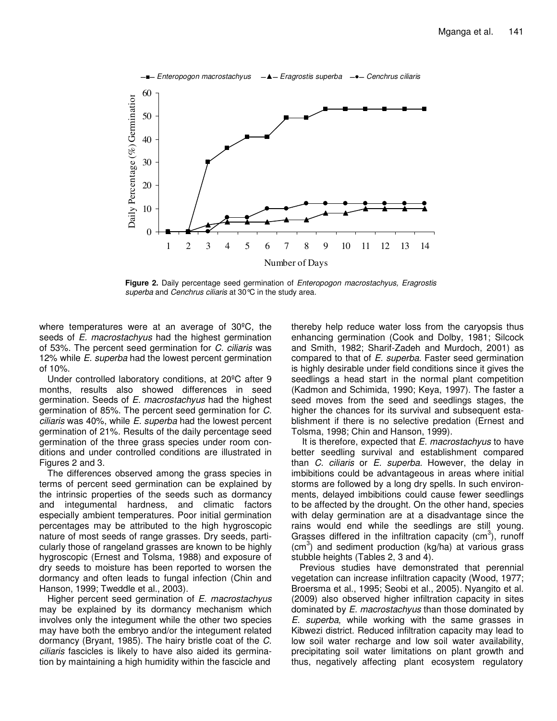

**Figure 2.** Daily percentage seed germination of Enteropogon macrostachyus, Eragrostis superba and Cenchrus ciliaris at 30°C in the study area.

where temperatures were at an average of 30ºC, the seeds of *E. macrostachyus* had the highest germination of 53%. The percent seed germination for C. ciliaris was 12% while *E. superba* had the lowest percent germination of 10%.

Under controlled laboratory conditions, at 20ºC after 9 months, results also showed differences in seed germination. Seeds of E. macrostachyus had the highest germination of 85%. The percent seed germination for C. ciliaris was 40%, while E. superba had the lowest percent germination of 21%. Results of the daily percentage seed germination of the three grass species under room conditions and under controlled conditions are illustrated in Figures 2 and 3.

The differences observed among the grass species in terms of percent seed germination can be explained by the intrinsic properties of the seeds such as dormancy and integumental hardness, and climatic factors especially ambient temperatures. Poor initial germination percentages may be attributed to the high hygroscopic nature of most seeds of range grasses. Dry seeds, particularly those of rangeland grasses are known to be highly hygroscopic (Ernest and Tolsma, 1988) and exposure of dry seeds to moisture has been reported to worsen the dormancy and often leads to fungal infection (Chin and Hanson, 1999; Tweddle et al., 2003).

Higher percent seed germination of E. macrostachyus may be explained by its dormancy mechanism which involves only the integument while the other two species may have both the embryo and/or the integument related dormancy (Bryant, 1985). The hairy bristle coat of the C. ciliaris fascicles is likely to have also aided its germination by maintaining a high humidity within the fascicle and thereby help reduce water loss from the caryopsis thus enhancing germination (Cook and Dolby, 1981; Silcock and Smith, 1982; Sharif-Zadeh and Murdoch, 2001) as compared to that of E. superba. Faster seed germination is highly desirable under field conditions since it gives the seedlings a head start in the normal plant competition (Kadmon and Schimida, 1990; Keya, 1997). The faster a seed moves from the seed and seedlings stages, the higher the chances for its survival and subsequent establishment if there is no selective predation (Ernest and Tolsma, 1998; Chin and Hanson, 1999).

It is therefore, expected that E. macrostachyus to have better seedling survival and establishment compared than *C. ciliaris* or *E. superba.* However, the delay in imbibitions could be advantageous in areas where initial storms are followed by a long dry spells. In such environments, delayed imbibitions could cause fewer seedlings to be affected by the drought. On the other hand, species with delay germination are at a disadvantage since the rains would end while the seedlings are still young. Grasses differed in the infiltration capacity (cm<sup>3</sup>), runoff  $(cm<sup>3</sup>)$  and sediment production (kg/ha) at various grass stubble heights (Tables 2, 3 and 4).

Previous studies have demonstrated that perennial vegetation can increase infiltration capacity (Wood, 1977; Broersma et al., 1995; Seobi et al., 2005). Nyangito et al. (2009) also observed higher infiltration capacity in sites dominated by E. macrostachyus than those dominated by E. superba, while working with the same grasses in Kibwezi district. Reduced infiltration capacity may lead to low soil water recharge and low soil water availability, precipitating soil water limitations on plant growth and thus, negatively affecting plant ecosystem regulatory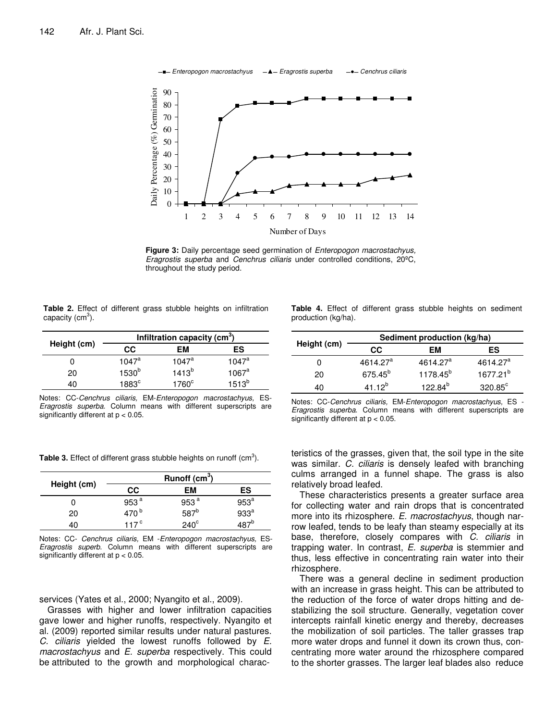

Figure 3: Daily percentage seed germination of *Enteropogon macrostachyus*, Eragrostis superba and Cenchrus ciliaris under controlled conditions, 20ºC, throughout the study period.

**Table 2.** Effect of different grass stubble heights on infiltration capacity (cm<sup>3</sup>).

|             | Infiltration capacity (cm <sup>3</sup> ) |            |            |
|-------------|------------------------------------------|------------|------------|
| Height (cm) | CC.                                      | EМ         | ES         |
| O           | $1047^a$                                 | $1047^a$   | $1047^a$   |
| 20          | 1530 <sup>b</sup>                        | $1413^{b}$ | $1067^a$   |
| 10          | 1883c                                    | $1760^c$   | $1513^{b}$ |

Notes: CC-Cenchrus ciliaris, EM-Enteropogon macrostachyus, ES-Eragrostis superba. Column means with different superscripts are significantly different at  $p < 0.05$ .

**Table 4.** Effect of different grass stubble heights on sediment production (kg/ha).

|             | Sediment production (kg/ha) |                      |                      |  |
|-------------|-----------------------------|----------------------|----------------------|--|
| Height (cm) | CC.                         | EМ                   | ES                   |  |
| 0           | 4614.27 <sup>a</sup>        | 4614.27 <sup>a</sup> | 4614.27 <sup>a</sup> |  |
| 20          | 675.45 <sup>b</sup>         | 1178.45 <sup>b</sup> | 1677.21 <sup>b</sup> |  |
| 40          | $41.12^{b}$                 | 122.84 <sup>b</sup>  | $320.85^{\circ}$     |  |

Notes: CC-Cenchrus ciliaris, EM-Enteropogon macrostachyus, ES - Eragrostis superba. Column means with different superscripts are significantly different at  $p < 0.05$ .

Table 3. Effect of different grass stubble heights on runoff  $(cm<sup>3</sup>)$ .

|             |                  | Runoff $(cm3)$   |                  |
|-------------|------------------|------------------|------------------|
| Height (cm) | СC               | EМ               | ES               |
|             | 953 $a$          | 953 $a$          | 953 <sup>a</sup> |
| 20          | 470 <sup>b</sup> | 587 <sup>b</sup> | 933 <sup>a</sup> |
| 40          | 117 $\degree$    | $240^\circ$      |                  |

Notes: CC- Cenchrus ciliaris, EM -Enteropogon macrostachyus, ES-Eragrostis superb. Column means with different superscripts are significantly different at p < 0.05.

# services (Yates et al., 2000; Nyangito et al., 2009).

Grasses with higher and lower infiltration capacities gave lower and higher runoffs, respectively. Nyangito et al. (2009) reported similar results under natural pastures. C. ciliaris yielded the lowest runoffs followed by E. macrostachyus and E. superba respectively. This could be attributed to the growth and morphological characteristics of the grasses, given that, the soil type in the site was similar. C. ciliaris is densely leafed with branching culms arranged in a funnel shape. The grass is also relatively broad leafed.

These characteristics presents a greater surface area for collecting water and rain drops that is concentrated more into its rhizosphere. E. macrostachyus, though narrow leafed, tends to be leafy than steamy especially at its base, therefore, closely compares with C. ciliaris in trapping water. In contrast, E. superba is stemmier and thus, less effective in concentrating rain water into their rhizosphere.

There was a general decline in sediment production with an increase in grass height. This can be attributed to the reduction of the force of water drops hitting and destabilizing the soil structure. Generally, vegetation cover intercepts rainfall kinetic energy and thereby, decreases the mobilization of soil particles. The taller grasses trap more water drops and funnel it down its crown thus, concentrating more water around the rhizosphere compared to the shorter grasses. The larger leaf blades also reduce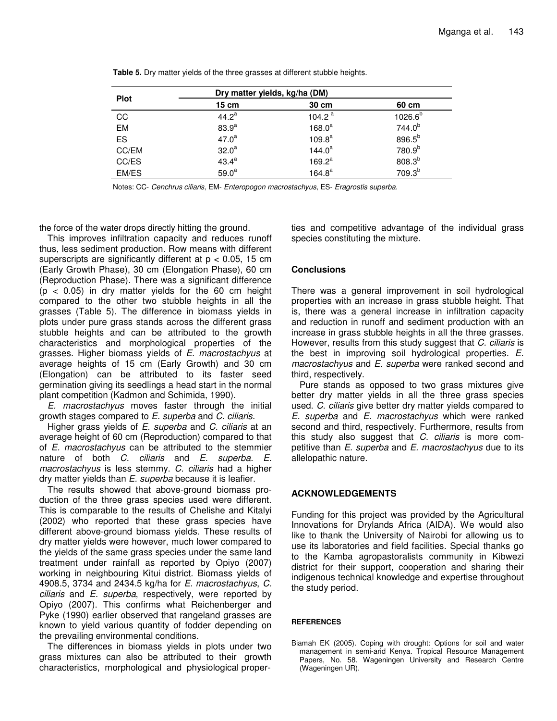|             | Dry matter yields, kg/ha (DM) |           |                     |
|-------------|-------------------------------|-----------|---------------------|
| <b>Plot</b> | 15cm                          | 30 cm     | 60 cm               |
| CC          | $44.2^a$                      | 104.2 $a$ | 1026.6 <sup>b</sup> |
| EM          | 83.9 <sup>a</sup>             | $168.0^a$ | $744.0^{b}$         |
| ES          | $47.0^a$                      | $109.8^a$ | 896.5 <sup>b</sup>  |
| CC/EM       | $32.0^{\circ}$                | $144.0^a$ | 780.9 <sup>b</sup>  |
| CC/ES       | $43.4^a$                      | $169.2^a$ | $808.3^{b}$         |
| EM/ES       | 59.0 <sup>a</sup>             | $164.8^a$ | $709.3^{b}$         |

**Table 5.** Dry matter yields of the three grasses at different stubble heights.

Notes: CC- Cenchrus ciliaris, EM- Enteropogon macrostachyus, ES- Eragrostis superba.

the force of the water drops directly hitting the ground.

This improves infiltration capacity and reduces runoff thus, less sediment production. Row means with different superscripts are significantly different at  $p < 0.05$ , 15 cm (Early Growth Phase), 30 cm (Elongation Phase), 60 cm (Reproduction Phase). There was a significant difference  $(p < 0.05)$  in dry matter yields for the 60 cm height compared to the other two stubble heights in all the grasses (Table 5). The difference in biomass yields in plots under pure grass stands across the different grass stubble heights and can be attributed to the growth characteristics and morphological properties of the grasses. Higher biomass yields of E. macrostachyus at average heights of 15 cm (Early Growth) and 30 cm (Elongation) can be attributed to its faster seed germination giving its seedlings a head start in the normal plant competition (Kadmon and Schimida, 1990).

E. macrostachyus moves faster through the initial growth stages compared to E. superba and C. ciliaris.

Higher grass yields of E. superba and C. ciliaris at an average height of 60 cm (Reproduction) compared to that of E. macrostachyus can be attributed to the stemmier nature of both C. ciliaris and E. superba. E. macrostachyus is less stemmy. C. ciliaris had a higher dry matter yields than E. superba because it is leafier.

The results showed that above-ground biomass production of the three grass species used were different. This is comparable to the results of Chelishe and Kitalyi (2002) who reported that these grass species have different above-ground biomass yields. These results of dry matter yields were however, much lower compared to the yields of the same grass species under the same land treatment under rainfall as reported by Opiyo (2007) working in neighbouring Kitui district. Biomass yields of 4908.5, 3734 and 2434.5 kg/ha for E. macrostachyus, C. ciliaris and E. superba, respectively, were reported by Opiyo (2007). This confirms what Reichenberger and Pyke (1990) earlier observed that rangeland grasses are known to yield various quantity of fodder depending on the prevailing environmental conditions.

The differences in biomass yields in plots under two grass mixtures can also be attributed to their growth characteristics, morphological and physiological properties and competitive advantage of the individual grass species constituting the mixture.

# **Conclusions**

There was a general improvement in soil hydrological properties with an increase in grass stubble height. That is, there was a general increase in infiltration capacity and reduction in runoff and sediment production with an increase in grass stubble heights in all the three grasses. However, results from this study suggest that C. ciliaris is the best in improving soil hydrological properties. E. macrostachyus and E. superba were ranked second and third, respectively.

Pure stands as opposed to two grass mixtures give better dry matter yields in all the three grass species used. C. ciliaris give better dry matter yields compared to E. superba and E. macrostachyus which were ranked second and third, respectively. Furthermore, results from this study also suggest that  $C$ . ciliaris is more competitive than E. superba and E. macrostachyus due to its allelopathic nature.

# **ACKNOWLEDGEMENTS**

Funding for this project was provided by the Agricultural Innovations for Drylands Africa (AIDA). We would also like to thank the University of Nairobi for allowing us to use its laboratories and field facilities. Special thanks go to the Kamba agropastoralists community in Kibwezi district for their support, cooperation and sharing their indigenous technical knowledge and expertise throughout the study period.

# **REFERENCES**

Biamah EK (2005). Coping with drought: Options for soil and water management in semi-arid Kenya. Tropical Resource Management Papers, No. 58. Wageningen University and Research Centre (Wageningen UR).